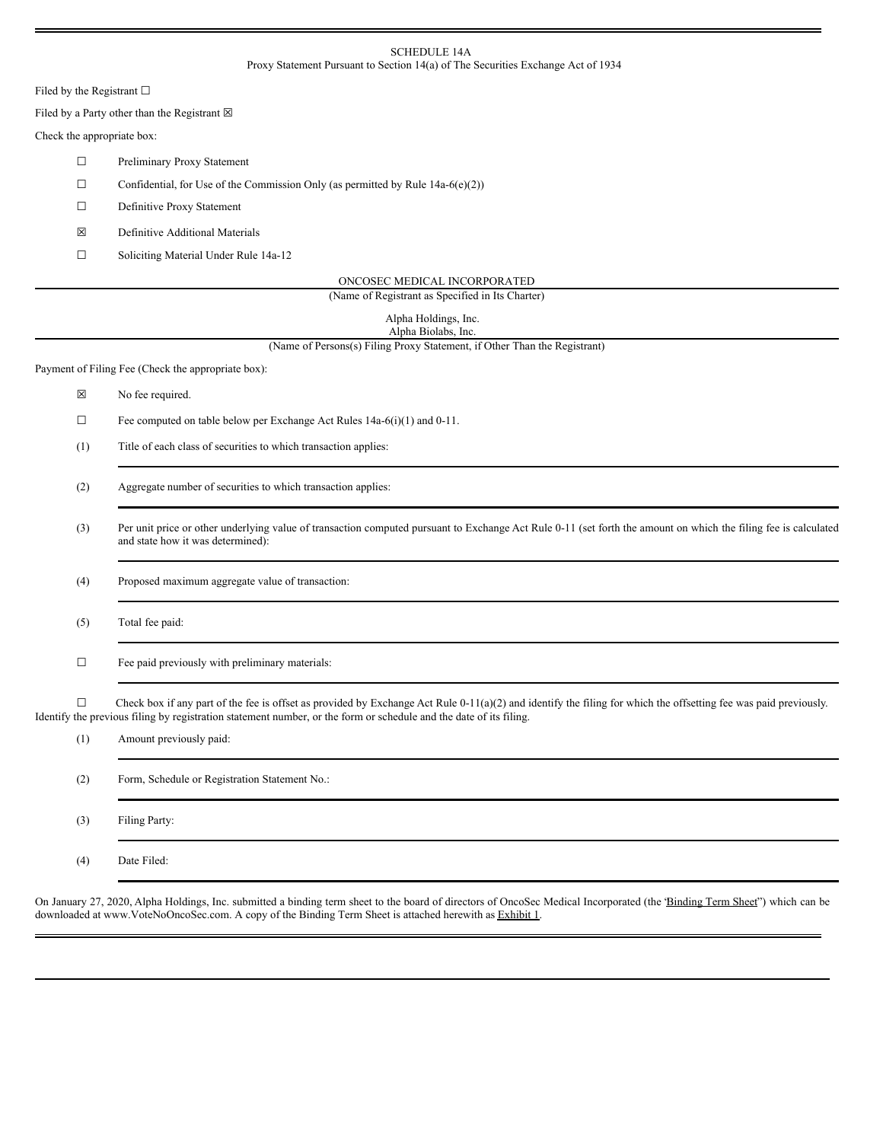#### SCHEDULE 14A Proxy Statement Pursuant to Section 14(a) of The Securities Exchange Act of 1934

Filed by the Registrant  $\square$ 

Filed by a Party other than the Registrant  $\boxtimes$ 

## Check the appropriate box:

- ☐ Preliminary Proxy Statement
- $\Box$  Confidential, for Use of the Commission Only (as permitted by Rule 14a-6(e)(2))
- ☐ Definitive Proxy Statement
- ☒ Definitive Additional Materials
- ☐ Soliciting Material Under Rule 14a-12

| ONCOSEC MEDICAL INCORPORATED |  |
|------------------------------|--|
|                              |  |

| (Name of Registrant as Specified in Its Charter) |  |
|--------------------------------------------------|--|
|--------------------------------------------------|--|

| Alpha Holdings, Inc. |
|----------------------|
| Alpha Biolabs, Inc.  |

(Name of Persons(s) Filing Proxy Statement, if Other Than the Registrant)

Payment of Filing Fee (Check the appropriate box):

- ☒ No fee required.
- ☐ Fee computed on table below per Exchange Act Rules 14a-6(i)(1) and 0-11.
- (1) Title of each class of securities to which transaction applies:
- (2) Aggregate number of securities to which transaction applies:
- (3) Per unit price or other underlying value of transaction computed pursuant to Exchange Act Rule 0-11 (set forth the amount on which the filing fee is calculated and state how it was determined):

(4) Proposed maximum aggregate value of transaction:

(5) Total fee paid:

☐ Fee paid previously with preliminary materials:

 $\Box$  Check box if any part of the fee is offset as provided by Exchange Act Rule 0-11(a)(2) and identify the filing for which the offsetting fee was paid previously. Identify the previous filing by registration statement number, or the form or schedule and the date of its filing.

| (1) | Amount previously paid:                       |
|-----|-----------------------------------------------|
| (2) | Form, Schedule or Registration Statement No.: |
| (3) | Filing Party:                                 |
| (4) | Date Filed:                                   |

On January 27, 2020, Alpha Holdings, Inc. submitted a binding term sheet to the board of directors of OncoSec Medical Incorporated (the *Binding Term Sheet''*) which can be downloaded at www.VoteNoOncoSec.com. A copy of the Binding Term Sheet is attached herewith as Exhibit 1.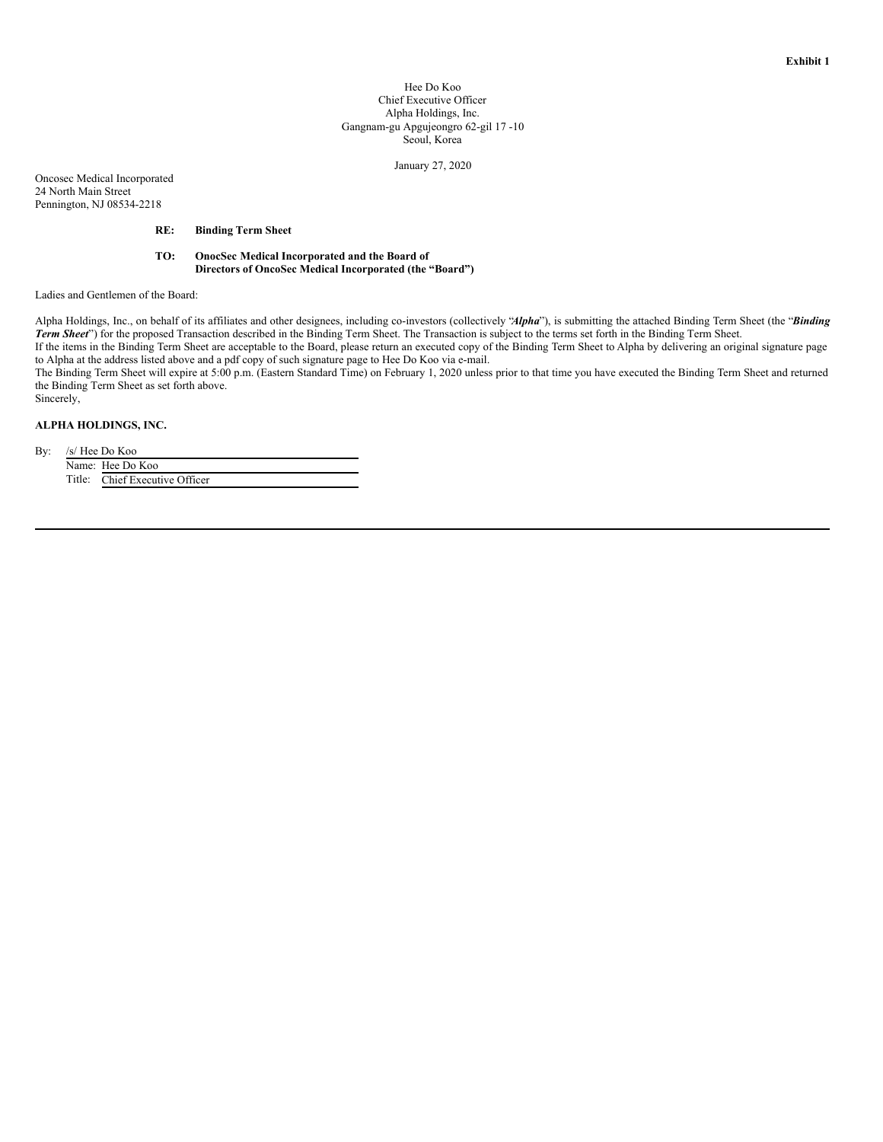#### Hee Do Koo Chief Executive Officer Alpha Holdings, Inc. Gangnam-gu Apgujeongro 62-gil 17 -10 Seoul, Korea

January 27, 2020

Oncosec Medical Incorporated 24 North Main Street Pennington, NJ 08534-2218

### **RE: Binding Term Sheet**

**TO: OnocSec Medical Incorporated and the Board of Directors of OncoSec Medical Incorporated (the "Board")**

Ladies and Gentlemen of the Board:

Alpha Holdings, Inc., on behalf of its affiliates and other designees, including co-investors (collectively "*Alpha*"), is submitting the attached Binding Term Sheet (the "*Binding Term Sheet*") for the proposed Transaction described in the Binding Term Sheet. The Transaction is subject to the terms set forth in the Binding Term Sheet.

If the items in the Binding Term Sheet are acceptable to the Board, please return an executed copy of the Binding Term Sheet to Alpha by delivering an original signature page to Alpha at the address listed above and a pdf copy of such signature page to Hee Do Koo via e-mail.

The Binding Term Sheet will expire at 5:00 p.m. (Eastern Standard Time) on February 1, 2020 unless prior to that time you have executed the Binding Term Sheet and returned the Binding Term Sheet as set forth above.

#### **ALPHA HOLDINGS, INC.**

By: /s/ Hee Do Koo

Sincerely,

Name: Hee Do Koo Title: Chief Executive Officer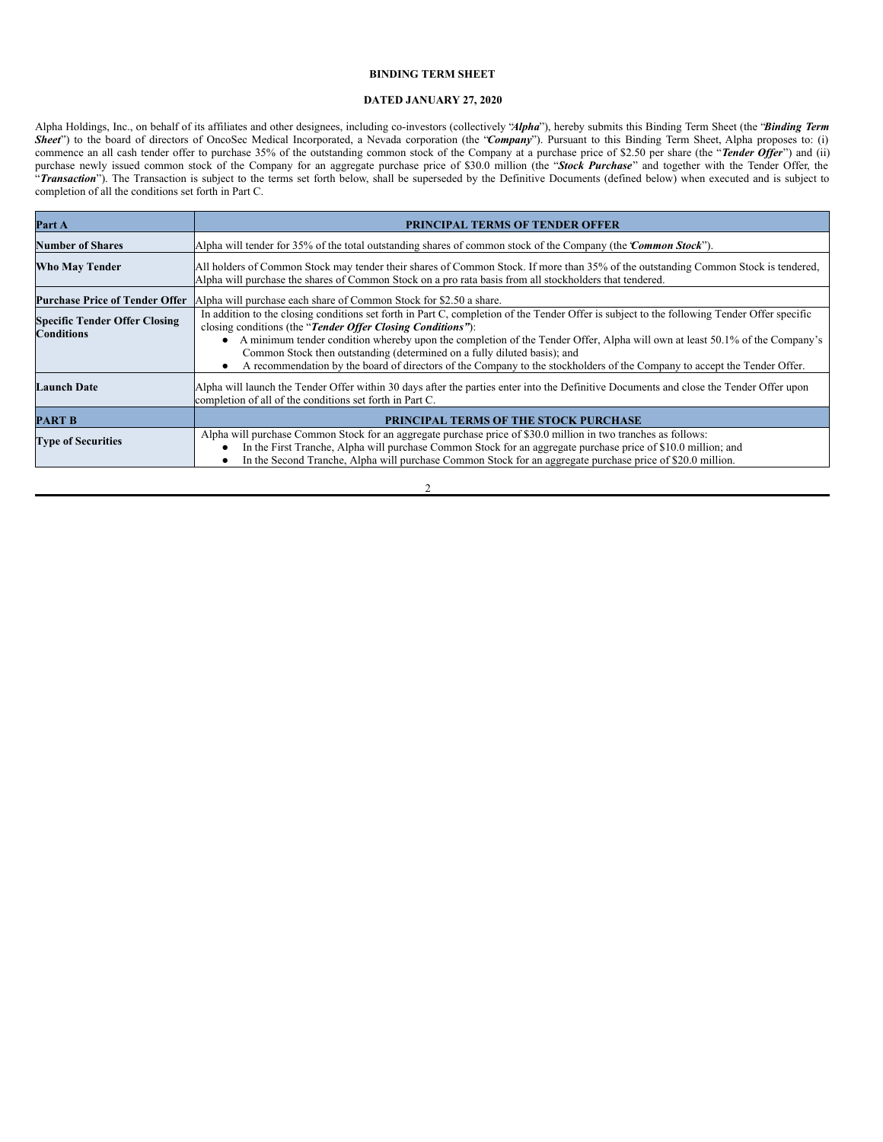### **BINDING TERM SHEET**

### **DATED JANUARY 27, 2020**

Alpha Holdings, Inc., on behalf of its affiliates and other designees, including co-investors (collectively "*Alpha*"), hereby submits this Binding Term Sheet (the "*Binding Term* **Sheet**") to the board of directors of OncoSec Medical Incorporated, a Nevada corporation (the "*Company*"). Pursuant to this Binding Term Sheet, Alpha proposes to: (i) commence an all cash tender offer to purchase 35% of the outstanding common stock of the Company at a purchase price of \$2.50 per share (the "*Tender Offer*") and (ii) purchase newly issued common stock of the Company for an aggregate purchase price of \$30.0 million (the "*Stock Purchase*" and together with the Tender Offer, the "*Transaction*"). The Transaction is subject to the terms set forth below, shall be superseded by the Definitive Documents (defined below) when executed and is subject to completion of all the conditions set forth in Part C.

| Part A                                                    | <b>PRINCIPAL TERMS OF TENDER OFFER</b>                                                                                                                                                                                                                                                                                                                                                                                                                                                                                                           |
|-----------------------------------------------------------|--------------------------------------------------------------------------------------------------------------------------------------------------------------------------------------------------------------------------------------------------------------------------------------------------------------------------------------------------------------------------------------------------------------------------------------------------------------------------------------------------------------------------------------------------|
| <b>Number of Shares</b>                                   | Alpha will tender for 35% of the total outstanding shares of common stock of the Company (the <i>Common Stock</i> ").                                                                                                                                                                                                                                                                                                                                                                                                                            |
| Who May Tender                                            | All holders of Common Stock may tender their shares of Common Stock. If more than 35% of the outstanding Common Stock is tendered,<br>Alpha will purchase the shares of Common Stock on a pro rata basis from all stockholders that tendered.                                                                                                                                                                                                                                                                                                    |
| <b>Purchase Price of Tender Offer</b>                     | Alpha will purchase each share of Common Stock for \$2.50 a share.                                                                                                                                                                                                                                                                                                                                                                                                                                                                               |
| <b>Specific Tender Offer Closing</b><br><b>Conditions</b> | In addition to the closing conditions set forth in Part C, completion of the Tender Offer is subject to the following Tender Offer specific<br>closing conditions (the "Tender Offer Closing Conditions"):<br>A minimum tender condition whereby upon the completion of the Tender Offer, Alpha will own at least 50.1% of the Company's<br>Common Stock then outstanding (determined on a fully diluted basis); and<br>A recommendation by the board of directors of the Company to the stockholders of the Company to accept the Tender Offer. |
| <b>Launch Date</b>                                        | Alpha will launch the Tender Offer within 30 days after the parties enter into the Definitive Documents and close the Tender Offer upon<br>completion of all of the conditions set forth in Part C.                                                                                                                                                                                                                                                                                                                                              |
| PART B                                                    | <b>PRINCIPAL TERMS OF THE STOCK PURCHASE</b>                                                                                                                                                                                                                                                                                                                                                                                                                                                                                                     |
| <b>Type of Securities</b>                                 | Alpha will purchase Common Stock for an aggregate purchase price of \$30.0 million in two tranches as follows:<br>In the First Tranche, Alpha will purchase Common Stock for an aggregate purchase price of \$10.0 million; and<br>In the Second Tranche, Alpha will purchase Common Stock for an aggregate purchase price of \$20.0 million.                                                                                                                                                                                                    |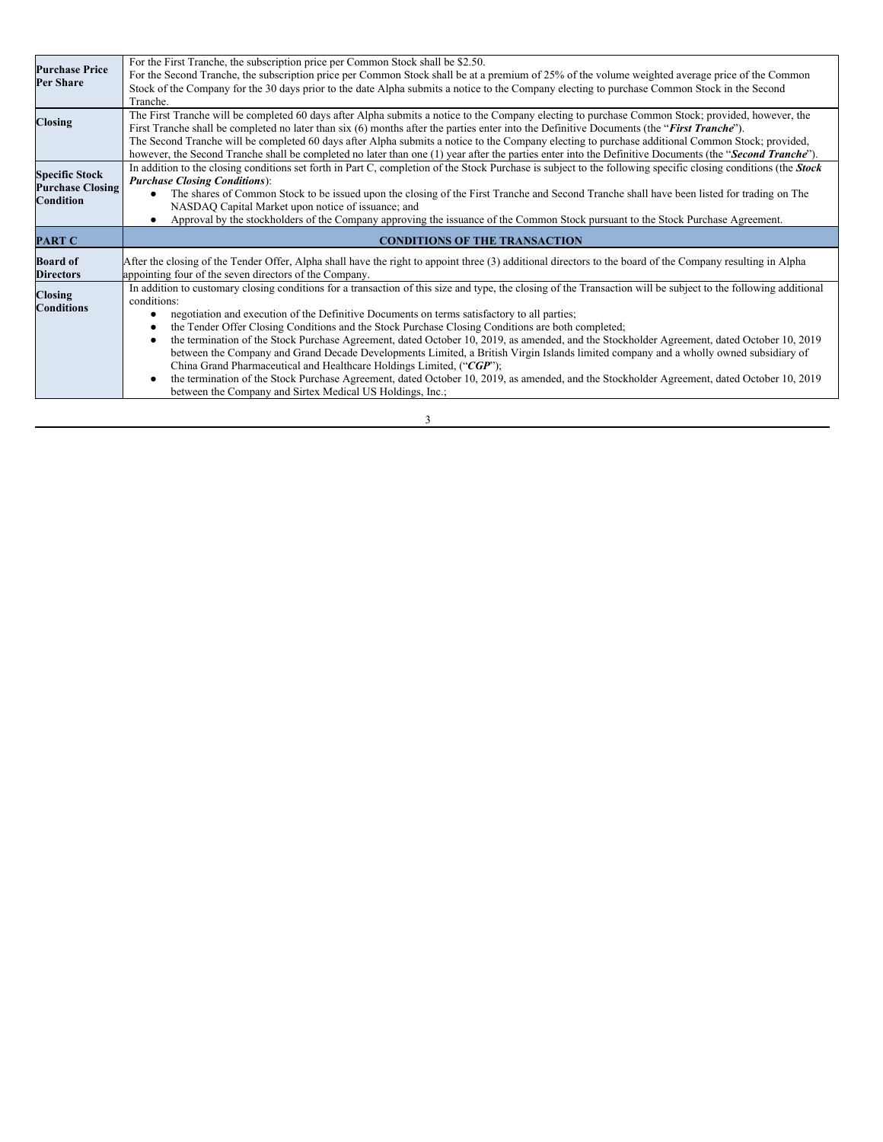| <b>Purchase Price</b><br>Per Share                            | For the First Tranche, the subscription price per Common Stock shall be \$2.50.<br>For the Second Tranche, the subscription price per Common Stock shall be at a premium of 25% of the volume weighted average price of the Common<br>Stock of the Company for the 30 days prior to the date Alpha submits a notice to the Company electing to purchase Common Stock in the Second<br>Tranche.                                                                                                                                                                                                                 |  |
|---------------------------------------------------------------|----------------------------------------------------------------------------------------------------------------------------------------------------------------------------------------------------------------------------------------------------------------------------------------------------------------------------------------------------------------------------------------------------------------------------------------------------------------------------------------------------------------------------------------------------------------------------------------------------------------|--|
| <b>Closing</b>                                                | The First Tranche will be completed 60 days after Alpha submits a notice to the Company electing to purchase Common Stock; provided, however, the<br>First Tranche shall be completed no later than six (6) months after the parties enter into the Definitive Documents (the "First Tranche").<br>The Second Tranche will be completed 60 days after Alpha submits a notice to the Company electing to purchase additional Common Stock; provided,<br>however, the Second Tranche shall be completed no later than one (1) year after the parties enter into the Definitive Documents (the "Second Tranche"). |  |
| <b>Specific Stock</b><br><b>Purchase Closing</b><br>Condition | In addition to the closing conditions set forth in Part C, completion of the Stock Purchase is subject to the following specific closing conditions (the <b>Stock</b><br><b>Purchase Closing Conditions</b> ):<br>The shares of Common Stock to be issued upon the closing of the First Tranche and Second Tranche shall have been listed for trading on The<br>NASDAQ Capital Market upon notice of issuance; and<br>Approval by the stockholders of the Company approving the issuance of the Common Stock pursuant to the Stock Purchase Agreement.                                                         |  |
| <b>PART C</b>                                                 | <b>CONDITIONS OF THE TRANSACTION</b>                                                                                                                                                                                                                                                                                                                                                                                                                                                                                                                                                                           |  |
| <b>Board of</b><br><b>Directors</b>                           | After the closing of the Tender Offer, Alpha shall have the right to appoint three (3) additional directors to the board of the Company resulting in Alpha                                                                                                                                                                                                                                                                                                                                                                                                                                                     |  |
|                                                               | appointing four of the seven directors of the Company.                                                                                                                                                                                                                                                                                                                                                                                                                                                                                                                                                         |  |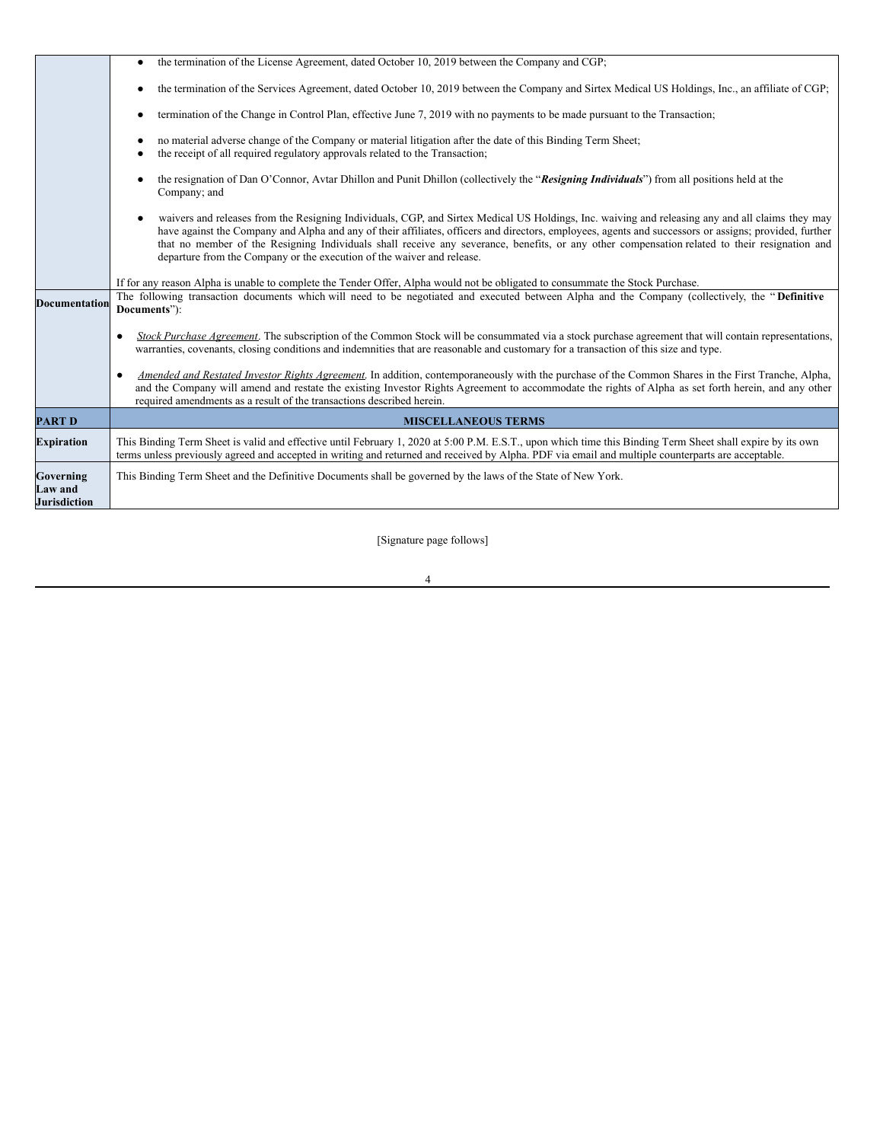|                                      | the termination of the License Agreement, dated October 10, 2019 between the Company and CGP;<br>$\bullet$                                                                                                                                                                                                                                                                                                                                                                                                                            |  |
|--------------------------------------|---------------------------------------------------------------------------------------------------------------------------------------------------------------------------------------------------------------------------------------------------------------------------------------------------------------------------------------------------------------------------------------------------------------------------------------------------------------------------------------------------------------------------------------|--|
|                                      | the termination of the Services Agreement, dated October 10, 2019 between the Company and Sirtex Medical US Holdings, Inc., an affiliate of CGP;<br>$\bullet$                                                                                                                                                                                                                                                                                                                                                                         |  |
|                                      | termination of the Change in Control Plan, effective June 7, 2019 with no payments to be made pursuant to the Transaction;<br>$\bullet$                                                                                                                                                                                                                                                                                                                                                                                               |  |
|                                      | no material adverse change of the Company or material litigation after the date of this Binding Term Sheet;<br>$\bullet$<br>the receipt of all required regulatory approvals related to the Transaction;<br>٠                                                                                                                                                                                                                                                                                                                         |  |
|                                      | the resignation of Dan O'Connor, Avtar Dhillon and Punit Dhillon (collectively the "Resigning Individuals") from all positions held at the<br>$\bullet$<br>Company; and                                                                                                                                                                                                                                                                                                                                                               |  |
|                                      | waivers and releases from the Resigning Individuals, CGP, and Sirtex Medical US Holdings, Inc. waiving and releasing any and all claims they may<br>have against the Company and Alpha and any of their affiliates, officers and directors, employees, agents and successors or assigns; provided, further<br>that no member of the Resigning Individuals shall receive any severance, benefits, or any other compensation related to their resignation and<br>departure from the Company or the execution of the waiver and release. |  |
|                                      | If for any reason Alpha is unable to complete the Tender Offer, Alpha would not be obligated to consummate the Stock Purchase.                                                                                                                                                                                                                                                                                                                                                                                                        |  |
| Documentation                        | The following transaction documents which will need to be negotiated and executed between Alpha and the Company (collectively, the "Definitive<br>Documents"):                                                                                                                                                                                                                                                                                                                                                                        |  |
|                                      | Stock Purchase Agreement. The subscription of the Common Stock will be consummated via a stock purchase agreement that will contain representations,<br>$\bullet$<br>warranties, covenants, closing conditions and indemnities that are reasonable and customary for a transaction of this size and type.                                                                                                                                                                                                                             |  |
|                                      | Amended and Restated Investor Rights Agreement. In addition, contemporaneously with the purchase of the Common Shares in the First Tranche, Alpha,<br>$\bullet$<br>and the Company will amend and restate the existing Investor Rights Agreement to accommodate the rights of Alpha as set forth herein, and any other<br>required amendments as a result of the transactions described herein.                                                                                                                                       |  |
| <b>PART D</b>                        | <b>MISCELLANEOUS TERMS</b>                                                                                                                                                                                                                                                                                                                                                                                                                                                                                                            |  |
| <b>Expiration</b>                    | This Binding Term Sheet is valid and effective until February 1, 2020 at 5:00 P.M. E.S.T., upon which time this Binding Term Sheet shall expire by its own<br>terms unless previously agreed and accepted in writing and returned and received by Alpha. PDF via email and multiple counterparts are acceptable.                                                                                                                                                                                                                      |  |
| Governing<br>Law and<br>Jurisdiction | This Binding Term Sheet and the Definitive Documents shall be governed by the laws of the State of New York.                                                                                                                                                                                                                                                                                                                                                                                                                          |  |

[Signature page follows]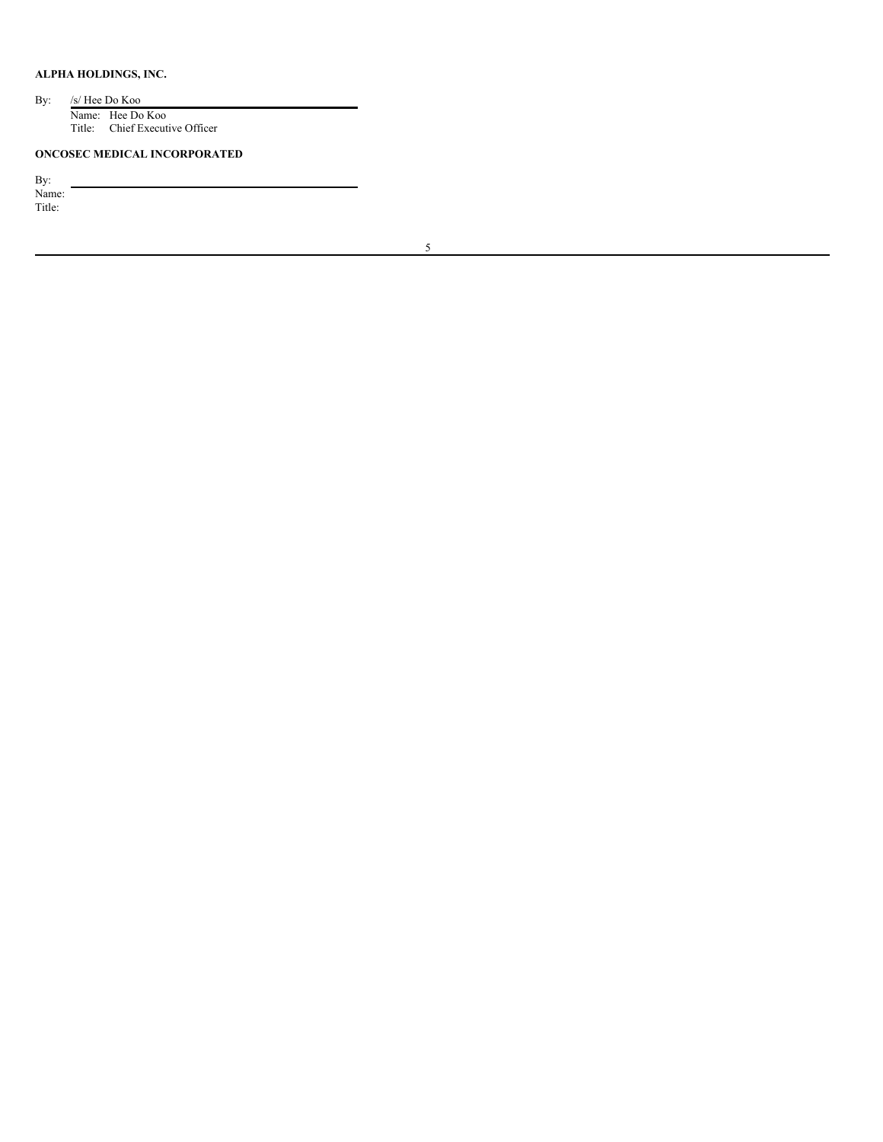# **ALPHA HOLDINGS, INC.**

By: /s/ Hee Do Koo Name: Hee Do Koo Title: Chief Executive Officer

# **ONCOSEC MEDICAL INCORPORATED**

By:

Name: Title: